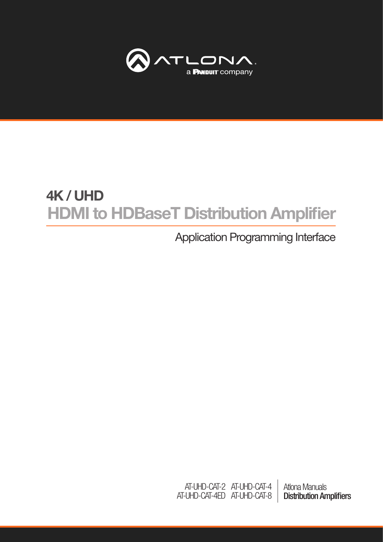

# HDMI to HDBaseT Distribution Amplifier 4K / UHD

## Application Programming Interface

Atlona Manuals Distribution Amplifiers AT-UHD-CAT-4 AT-UHD-CAT-8 AT-UHD-CAT-2 AT-UHD-CAT-4ED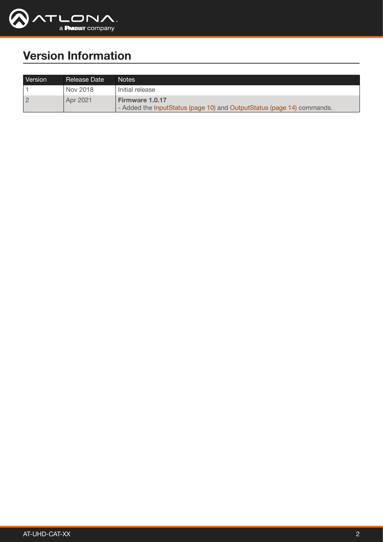

## Version Information

| Version        | Release Date | Notes                                                                                            |
|----------------|--------------|--------------------------------------------------------------------------------------------------|
|                | Nov 2018     | l Initial release                                                                                |
| $\overline{2}$ | Apr 2021     | <b>Firmware 1.0.17</b><br>- Added the InputStatus (page 10) and OutputStatus (page 14) commands. |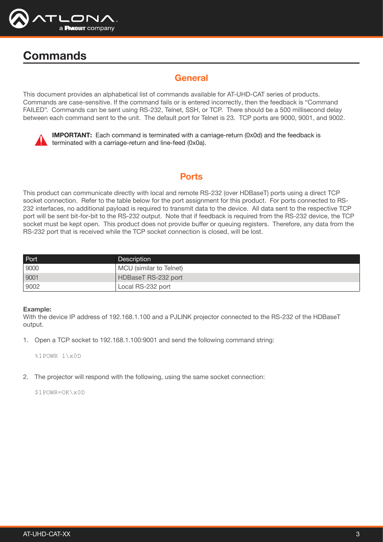

## **Commands**

## General

This document provides an alphabetical list of commands available for AT-UHD-CAT series of products. Commands are case-sensitive. If the command fails or is entered incorrectly, then the feedback is "Command FAILED". Commands can be sent using RS-232, Telnet, SSH, or TCP. There should be a 500 millisecond delay between each command sent to the unit. The default port for Telnet is 23. TCP ports are 9000, 9001, and 9002.



IMPORTANT: Each command is terminated with a carriage-return (0x0d) and the feedback is terminated with a carriage-return and line-feed (0x0a).

## **Ports**

This product can communicate directly with local and remote RS-232 (over HDBaseT) ports using a direct TCP socket connection. Refer to the table below for the port assignment for this product. For ports connected to RS-232 interfaces, no additional payload is required to transmit data to the device. All data sent to the respective TCP port will be sent bit-for-bit to the RS-232 output. Note that if feedback is required from the RS-232 device, the TCP socket must be kept open. This product does not provide buffer or queuing registers. Therefore, any data from the RS-232 port that is received while the TCP socket connection is closed, will be lost.

| Port | <b>Description</b>      |
|------|-------------------------|
| 9000 | MCU (similar to Telnet) |
| 9001 | HDBaseT RS-232 port     |
| 9002 | Local RS-232 port       |

#### Example:

With the device IP address of 192.168.1.100 and a PJLINK projector connected to the RS-232 of the HDBaseT output.

1. Open a TCP socket to 192.168.1.100:9001 and send the following command string:

%1POWR 1\x0D

2. The projector will respond with the following, using the same socket connection:

\$1POWR=OK\x0D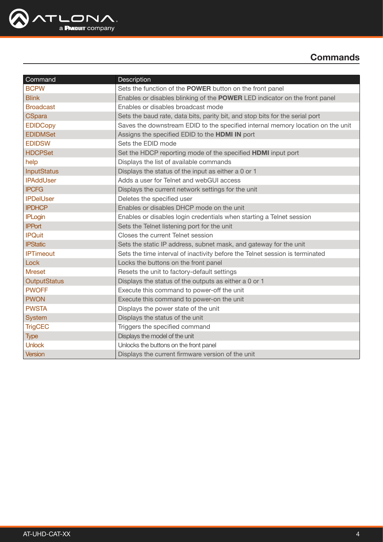

| Command             | Description                                                                     |
|---------------------|---------------------------------------------------------------------------------|
| <b>BCPW</b>         | Sets the function of the POWER button on the front panel                        |
| <b>Blink</b>        | Enables or disables blinking of the POWER LED indicator on the front panel      |
| <b>Broadcast</b>    | Enables or disables broadcast mode                                              |
| <b>CSpara</b>       | Sets the baud rate, data bits, parity bit, and stop bits for the serial port    |
| <b>EDIDCopy</b>     | Saves the downstream EDID to the specified internal memory location on the unit |
| <b>EDIDMSet</b>     | Assigns the specified EDID to the HDMI IN port                                  |
| <b>EDIDSW</b>       | Sets the EDID mode                                                              |
| <b>HDCPSet</b>      | Set the HDCP reporting mode of the specified HDMI input port                    |
| help                | Displays the list of available commands                                         |
| <b>InputStatus</b>  | Displays the status of the input as either a 0 or 1                             |
| <b>IPAddUser</b>    | Adds a user for Telnet and webGUI access                                        |
| <b>IPCFG</b>        | Displays the current network settings for the unit                              |
| <b>IPDelUser</b>    | Deletes the specified user                                                      |
| <b>IPDHCP</b>       | Enables or disables DHCP mode on the unit                                       |
| <b>IPLogin</b>      | Enables or disables login credentials when starting a Telnet session            |
| <b>IPPort</b>       | Sets the Telnet listening port for the unit                                     |
| <b>IPQuit</b>       | Closes the current Telnet session                                               |
| <b>IPStatic</b>     | Sets the static IP address, subnet mask, and gateway for the unit               |
| <b>IPTimeout</b>    | Sets the time interval of inactivity before the Telnet session is terminated    |
| Lock                | Locks the buttons on the front panel                                            |
| <b>Mreset</b>       | Resets the unit to factory-default settings                                     |
| <b>OutputStatus</b> | Displays the status of the outputs as either a 0 or 1                           |
| <b>PWOFF</b>        | Execute this command to power-off the unit                                      |
| <b>PWON</b>         | Execute this command to power-on the unit                                       |
| <b>PWSTA</b>        | Displays the power state of the unit                                            |
| <b>System</b>       | Displays the status of the unit                                                 |
| <b>TrigCEC</b>      | Triggers the specified command                                                  |
| <b>Type</b>         | Displays the model of the unit                                                  |
| <b>Unlock</b>       | Unlocks the buttons on the front panel                                          |
| Version             | Displays the current firmware version of the unit                               |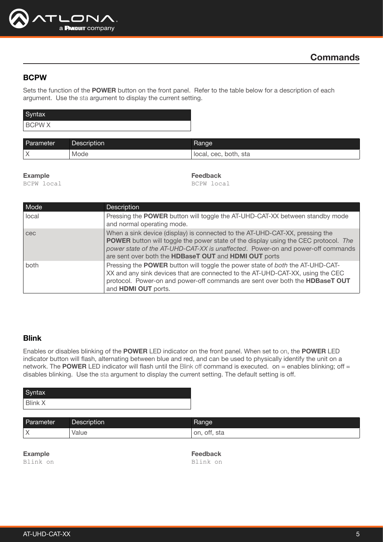

#### <span id="page-4-0"></span>**BCPW**

Sets the function of the POWER button on the front panel. Refer to the table below for a description of each argument. Use the sta argument to display the current setting.

| Syntax       |  |
|--------------|--|
| <b>BCPWX</b> |  |

| Parameter | Description | Range                                        |
|-----------|-------------|----------------------------------------------|
| $\sqrt{}$ | Mode        | sta<br>both,<br>local.<br><b>CAC</b><br>UUU. |

#### Example

BCPW local

Feedback

BCPW local

| Mode  | <b>Description</b>                                                                                                                                                                                                                                                                                                     |
|-------|------------------------------------------------------------------------------------------------------------------------------------------------------------------------------------------------------------------------------------------------------------------------------------------------------------------------|
| local | Pressing the POWER button will toggle the AT-UHD-CAT-XX between standby mode<br>and normal operating mode.                                                                                                                                                                                                             |
| cec   | When a sink device (display) is connected to the AT-UHD-CAT-XX, pressing the<br><b>POWER</b> button will toggle the power state of the display using the CEC protocol. The<br>power state of the AT-UHD-CAT-XX is unaffected. Power-on and power-off commands<br>are sent over both the HDBaseT OUT and HDMI OUT ports |
| both  | Pressing the POWER button will toggle the power state of both the AT-UHD-CAT-<br>XX and any sink devices that are connected to the AT-UHD-CAT-XX, using the CEC<br>protocol. Power-on and power-off commands are sent over both the HDBaseT OUT<br>and HDMI OUT ports.                                                 |

#### <span id="page-4-1"></span>Blink

Enables or disables blinking of the POWER LED indicator on the front panel. When set to on, the POWER LED indicator button will flash, alternating between blue and red, and can be used to physically identify the unit on a network. The POWER LED indicator will flash until the Blink off command is executed. on = enables blinking; off = disables blinking. Use the sta argument to display the current setting. The default setting is off.

| Syntax         |  |
|----------------|--|
| <b>Blink X</b> |  |

| Parameter    | Description | Hangel             |
|--------------|-------------|--------------------|
| $\checkmark$ | /alue       | sta<br>on.<br>ott. |

Example

Blink on

Feedback Blink on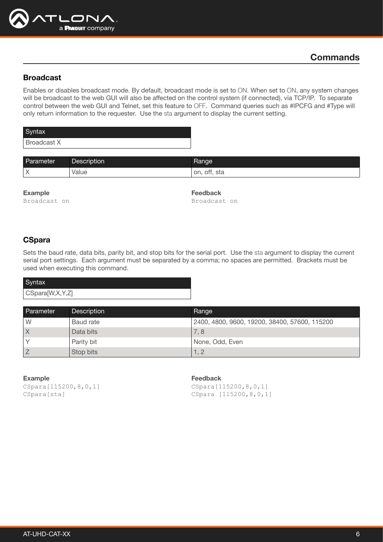

## <span id="page-5-0"></span>Broadcast

Enables or disables broadcast mode. By default, broadcast mode is set to ON. When set to ON, any system changes will be broadcast to the web GUI will also be affected on the control system (if connected), via TCP/IP. To separate control between the web GUI and Telnet, set this feature to OFF. Command queries such as #IPCFG and #Type will only return information to the requester. Use the sta argument to display the current setting.

| Syntax      |  |
|-------------|--|
| Broadcast X |  |

| Parameter | <b>Description</b> | Range           |
|-----------|--------------------|-----------------|
| $\sim$    | Value              | on.<br>ott, sta |

Example Broadcast on Feedback Broadcast on

## <span id="page-5-1"></span>**CSpara**

Sets the baud rate, data bits, parity bit, and stop bits for the serial port. Use the sta argument to display the current serial port settings. Each argument must be separated by a comma; no spaces are permitted. Brackets must be used when executing this command.

| Syntax          |
|-----------------|
| CSpara[W,X,Y,Z] |

| Parameter               | <b>Description</b> | Range                                         |
|-------------------------|--------------------|-----------------------------------------------|
| W                       | Baud rate          | 2400, 4800, 9600, 19200, 38400, 57600, 115200 |
| $\overline{\mathsf{X}}$ | Data bits          | 7,8                                           |
|                         | Parity bit         | None, Odd, Even                               |
|                         | Stop bits          | 1. 2                                          |

Example CSpara[115200,8,0,1] CSpara[sta]

Feedback

CSpara[115200,8,0,1] CSpara [115200,8,0,1]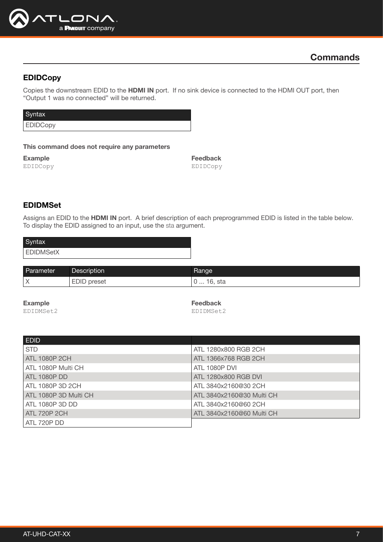

## <span id="page-6-0"></span>EDIDCopy

Copies the downstream EDID to the HDMI IN port. If no sink device is connected to the HDMI OUT port, then "Output 1 was no connected" will be returned.

| Syntax          |  |
|-----------------|--|
| <b>EDIDCopy</b> |  |

#### This command does not require any parameters

Example EDIDCopy

Feedback EDIDCopy

## <span id="page-6-1"></span>EDIDMSet

Assigns an EDID to the HDMI IN port. A brief description of each preprogrammed EDID is listed in the table below. To display the EDID assigned to an input, use the sta argument.

| Syntax           |  |
|------------------|--|
| <b>EDIDMSetX</b> |  |

| Parameter  | Description     | Range             |
|------------|-----------------|-------------------|
| $\sqrt{ }$ | preset<br>EDID. | l6, sta<br>.<br>ັ |

Example

EDIDMSet2

Feedback EDIDMSet2

| <b>EDID</b>           |                           |
|-----------------------|---------------------------|
| <b>STD</b>            | ATL 1280x800 RGB 2CH      |
| ATL 1080P 2CH         | ATL 1366x768 RGB 2CH      |
| ATL 1080P Multi CH    | <b>ATL 1080P DVI</b>      |
| <b>ATL 1080P DD</b>   | ATL 1280x800 RGB DVI      |
| ATL 1080P 3D 2CH      | ATL 3840x2160@30 2CH      |
| ATL 1080P 3D Multi CH | ATL 3840x2160@30 Multi CH |
| ATL 1080P 3D DD       | ATL 3840x2160@60 2CH      |
| <b>ATL 720P 2CH</b>   | ATL 3840x2160@60 Multi CH |
| ATL 720P DD           |                           |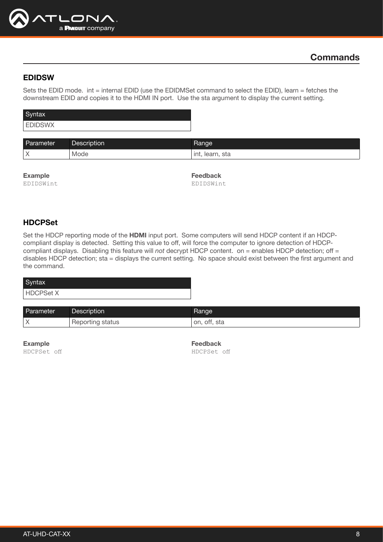

#### <span id="page-7-0"></span>EDIDSW

Sets the EDID mode. int = internal EDID (use the EDIDMSet command to select the EDID), learn = fetches the downstream EDID and copies it to the HDMI IN port. Use the sta argument to display the current setting.

| Syntax         |  |
|----------------|--|
| <b>EDIDSWX</b> |  |
|                |  |

| Parameter | <b>Description</b> | Range                 |
|-----------|--------------------|-----------------------|
| $\vee$    | Mode               | ınt.<br>sta<br>learn, |

| <b>Example</b> |  |
|----------------|--|
| EDIDSWint      |  |

Feedback EDIDSWint

## <span id="page-7-1"></span>HDCPSet

Set the HDCP reporting mode of the HDMI input port. Some computers will send HDCP content if an HDCPcompliant display is detected. Setting this value to off, will force the computer to ignore detection of HDCPcompliant displays. Disabling this feature will *not* decrypt HDCP content. on = enables HDCP detection; off = disables HDCP detection; sta = displays the current setting. No space should exist between the first argument and the command.

| Syntax    |  |
|-----------|--|
| HDCPSet X |  |

| Parameter | Description        | Range        |
|-----------|--------------------|--------------|
|           | ' Reporting status | on, off, sta |

Example

HDCPSet off

Feedback HDCPSet off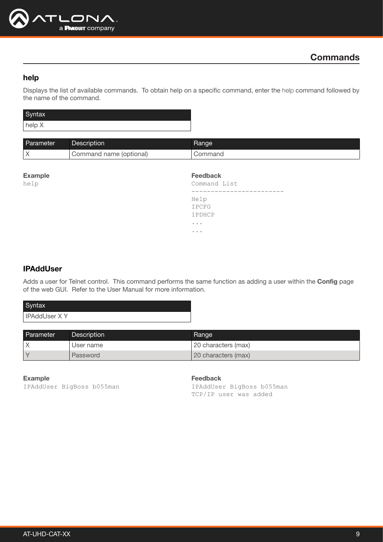

## <span id="page-8-0"></span>help

Displays the list of available commands. To obtain help on a specific command, enter the help command followed by the name of the command.

| Syntax |  |
|--------|--|
| help X |  |

| Parameter | Description             | Range   |
|-----------|-------------------------|---------|
|           | Command name (optional) | ∴ommand |

| <b>Feedback</b><br><b>Example</b><br>help<br>Command List |  |
|-----------------------------------------------------------|--|
| __________                                                |  |
| Help                                                      |  |
| IPCFG                                                     |  |
| IPDHCP                                                    |  |
| $\cdots$                                                  |  |
| $\cdots$                                                  |  |

#### <span id="page-8-1"></span>**IPAddUser**

Adds a user for Telnet control. This command performs the same function as adding a user within the Config page of the web GUI. Refer to the User Manual for more information.

| Syntax              |
|---------------------|
| <b>IPAddUser XY</b> |
|                     |

| Parameter | Description | Range                |
|-----------|-------------|----------------------|
|           | User name   | 120 characters (max) |
|           | Password    | 20 characters (max)  |

Example IPAddUser BigBoss b055man Feedback

IPAddUser BigBoss b055man TCP/IP user was added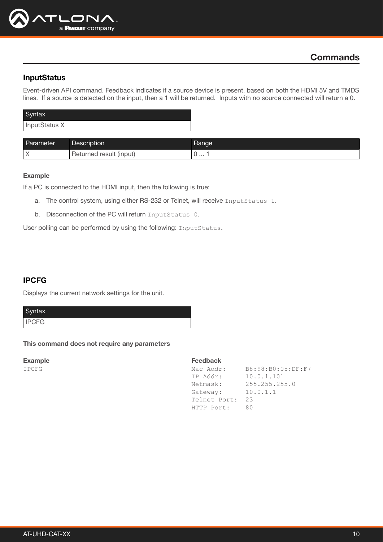

#### <span id="page-9-0"></span>**InputStatus**

Event-driven API command. Feedback indicates if a source device is present, based on both the HDMI 5V and TMDS lines. If a source is detected on the input, then a 1 will be returned. Inputs with no source connected will return a 0.

| Syntax        |
|---------------|
| InputStatus X |

| Parameter | <b>Description</b>                  | Range |
|-----------|-------------------------------------|-------|
| $\sqrt{}$ | ' result (input)<br><b>Returned</b> |       |

#### Example

If a PC is connected to the HDMI input, then the following is true:

- a. The control system, using either RS-232 or Telnet, will receive InputStatus 1.
- b. Disconnection of the PC will return InputStatus 0.

User polling can be performed by using the following: InputStatus.

## <span id="page-9-1"></span>IPCFG

Displays the current network settings for the unit.

Syntax

IPCFG

#### This command does not require any parameters

Example

IPCFG

| Mac Addr:    | B8:98:B0:05:DF:F7 |
|--------------|-------------------|
| IP Addr:     | 10.0.1.101        |
| Netmask:     | 255.255.255.0     |
| Gateway:     | 10.0.1.1          |
| Telnet Port: | 23                |
| HTTP Port:   | 80                |
|              |                   |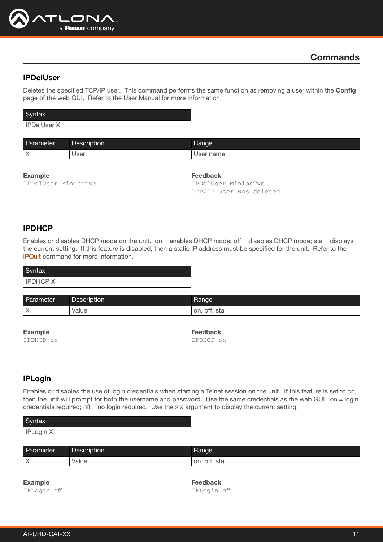

#### <span id="page-10-0"></span>IPDelUser

Deletes the specified TCP/IP user. This command performs the same function as removing a user within the Config page of the web GUI. Refer to the User Manual for more information.

| Syntax             |  |
|--------------------|--|
| <b>IPDelUser X</b> |  |

| Parameter | Description | Range        |
|-----------|-------------|--------------|
| $\lambda$ | User        | name<br>Isar |

#### Example

IPDelUser MinionTwo

#### Feedback

IPDelUser MinionTwo TCP/IP user was deleted

## <span id="page-10-1"></span>IPDHCP

Enables or disables DHCP mode on the unit. on = enables DHCP mode; off = disables DHCP mode; sta = displays the current setting. If this feature is disabled, then a static IP address must be specified for the unit. Refer to the [IPQuit](#page-11-1) command for more information.

| Syntax          |  |
|-----------------|--|
| <b>IPDHCP X</b> |  |
|                 |  |

| Parameter  | Description | ⊰ange              |
|------------|-------------|--------------------|
| $\sqrt{ }$ | value       | sta<br>on.<br>ott. |

Example

IPDHCP on

Feedback IPDHCP on

## <span id="page-10-2"></span>IPLogin

Enables or disables the use of login credentials when starting a Telnet session on the unit. If this feature is set to on, then the unit will prompt for both the username and password. Use the same credentials as the web GUI. on = login credentials required; off = no login required. Use the sta argument to display the current setting.

| Syntax    |  |
|-----------|--|
| IPLogin X |  |

| Parameter | Description | <b>Hange</b>    |
|-----------|-------------|-----------------|
| $\sqrt{}$ | Value       | off, sta<br>on. |

Example IPLogin off Feedback IPLogin off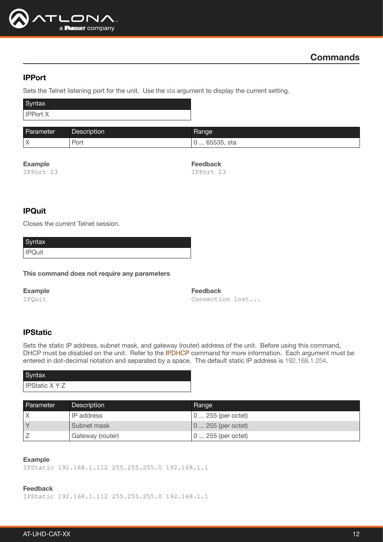

#### <span id="page-11-0"></span>IPPort

Sets the Telnet listening port for the unit. Use the sta argument to display the current setting.

| Syntax          |  |
|-----------------|--|
| <b>IPPort X</b> |  |

| Parameter | Description | Rangel                                 |
|-----------|-------------|----------------------------------------|
| $\sqrt{}$ | Pon         | <b>GEERE</b><br>. 65535. sta<br>.<br>ັ |

#### Example

IPPort 23

Feedback IPPort 23

## <span id="page-11-1"></span>**IPQuit**

Closes the current Telnet session.

| Syntax        |  |
|---------------|--|
| <b>IPQuit</b> |  |

This command does not require any parameters

Example

IPQuit

Feedback Connection lost...

#### <span id="page-11-2"></span>**IPStatic**

Sets the static IP address, subnet mask, and gateway (router) address of the unit. Before using this command, DHCP must be disabled on the unit. Refer to the IPDHCP command for more information. Each argument must be entered in dot-decimal notation and separated by a space. The default static IP address is 192.168.1.254.

| Syntax                |  |
|-----------------------|--|
| <b>IPStatic X Y Z</b> |  |

| Parameter | Description      | Range               |
|-----------|------------------|---------------------|
|           | IP address       | 0  255 (per octet)  |
|           | Subnet mask      | $ 0255$ (per octet) |
|           | Gateway (router) | 0  255 (per octet)  |

#### Example

IPStatic 192.168.1.112 255.255.255.0 192.168.1.1

Feedback

IPStatic 192.168.1.112 255.255.255.0 192.168.1.1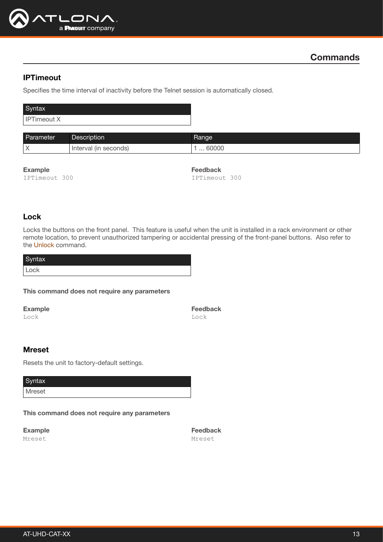

## <span id="page-12-0"></span>IPTimeout

Specifies the time interval of inactivity before the Telnet session is automatically closed.

| Syntax      |  |
|-------------|--|
| IPTimeout X |  |

| Parameter | Description          | Range |
|-----------|----------------------|-------|
| $\lambda$ | seconds)<br>Interval | 60000 |

Example

IPTimeout 300

Feedback IPTimeout 300

#### <span id="page-12-1"></span>Lock

Locks the buttons on the front panel. This feature is useful when the unit is installed in a rack environment or other remote location, to prevent unauthorized tampering or accidental pressing of the front-panel buttons. Also refer to the [Unlock](#page-15-2) command.

| Syntax |  |
|--------|--|
| Lock   |  |

#### This command does not require any parameters

Example

Lock

Feedback Lock

#### <span id="page-12-2"></span>Mreset

Resets the unit to factory-default settings.

**Syntax** 

Mreset

This command does not require any parameters

Example Mreset

Feedback Mreset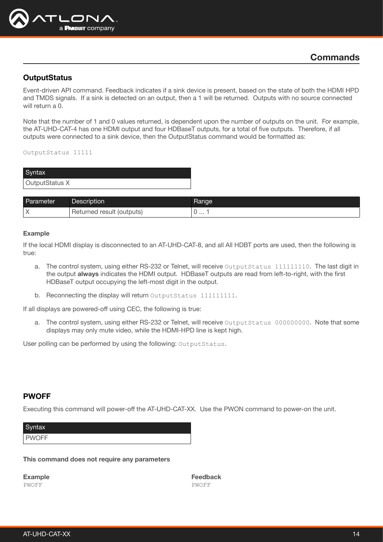

#### <span id="page-13-0"></span>**OutputStatus**

Event-driven API command. Feedback indicates if a sink device is present, based on the state of both the HDMI HPD and TMDS signals. If a sink is detected on an output, then a 1 will be returned. Outputs with no source connected will return a 0.

Note that the number of 1 and 0 values returned, is dependent upon the number of outputs on the unit. For example, the AT-UHD-CAT-4 has one HDMI output and four HDBaseT outputs, for a total of five outputs. Therefore, if all outputs were connected to a sink device, then the OutputStatus command would be formatted as:

OutputStatus 11111

| Syntax         |
|----------------|
| OutputStatus X |

| Parameter  | Description               | <b>Hange</b> |
|------------|---------------------------|--------------|
| $\sqrt{ }$ | Returned result (outputs) |              |

#### Example

If the local HDMI display is disconnected to an AT-UHD-CAT-8, and all All HDBT ports are used, then the following is true:

- a. The control system, using either RS-232 or Telnet, will receive OutputStatus 111111110. The last digit in the output always indicates the HDMI output. HDBaseT outputs are read from left-to-right, with the first HDBaseT output occupying the left-most digit in the output.
- b. Reconnecting the display will return OutputStatus 1111111111.

If all displays are powered-off using CEC, the following is true:

a. The control system, using either RS-232 or Telnet, will receive OutputStatus 000000000. Note that some displays may only mute video, while the HDMI-HPD line is kept high.

User polling can be performed by using the following: OutputStatus.

#### <span id="page-13-1"></span>PWOFF

Executing this command will power-off the AT-UHD-CAT-XX. Use the PWON command to power-on the unit.

| Syntax       |  |
|--------------|--|
| <b>PWOFF</b> |  |

This command does not require any parameters

Example PWOFF

Feedback PWOFF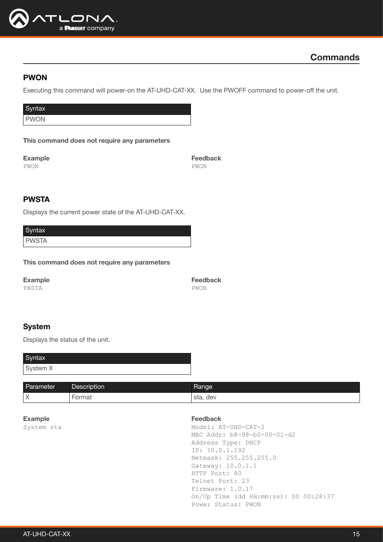

## <span id="page-14-0"></span>PWON

Executing this command will power-on the AT-UHD-CAT-XX. Use the PWOFF command to power-off the unit.

Syntax

PWON

This command does not require any parameters

Example PWON

Feedback PWON

## <span id="page-14-1"></span>PWSTA

Displays the current power state of the AT-UHD-CAT-XX.

| Syntax       |  |
|--------------|--|
| <b>PWSTA</b> |  |

This command does not require any parameters

Example PWSTA

Feedback PWON

## <span id="page-14-2"></span>System

Displays the status of the unit.

| Syntax   |  |
|----------|--|
| System X |  |

| Parameter         | Description   | Range         |
|-------------------|---------------|---------------|
| $\checkmark$<br>↗ | <b>Format</b> | , dev<br>sta. |

Example System sta

#### Feedback

Model: AT-UHD-CAT-2 MAC Addr: b8-98-b0-00-01-d2 Address Type: DHCP IP: 10.0.1.192 Netmask: 255.255.255.0 Gateway: 10.0.1.1 HTTP Port: 80 Telnet Port: 23 Firmware: 1.0.17 On/Up Time (dd HH:mm:ss): 00 00:28:37 Power Status: PWON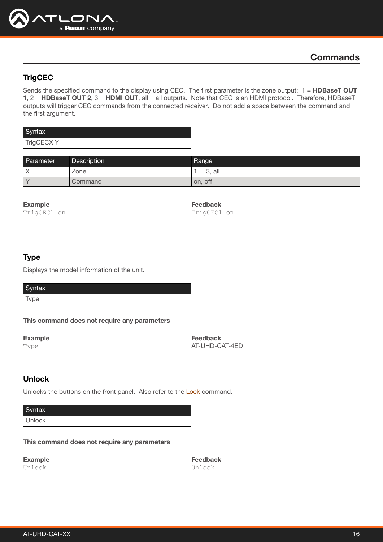

## <span id="page-15-0"></span>**TrigCEC**

Sends the specified command to the display using CEC. The first parameter is the zone output: 1 = HDBaseT OUT 1, 2 = HDBaseT OUT 2, 3 = HDMI OUT, all = all outputs. Note that CEC is an HDMI protocol. Therefore, HDBaseT outputs will trigger CEC commands from the connected receiver. Do not add a space between the command and the first argument.

| Syntax     |  |
|------------|--|
| TrigCECX Y |  |

| Parameter | <b>Description</b> | Range          |
|-----------|--------------------|----------------|
|           | Zone               | $\dots$ 3, all |
|           | Command            | on, off        |

#### Example

TrigCEC1 on

Feedback TrigCEC1 on

#### <span id="page-15-1"></span>Type

Displays the model information of the unit.

| Syntax |  |  |
|--------|--|--|
| Type   |  |  |

This command does not require any parameters

Example Type

Feedback AT-UHD-CAT-4ED

## <span id="page-15-2"></span>Unlock

Unlocks the buttons on the front panel. Also refer to the [Lock](#page-12-1) command.

**Syntax** Unlock

This command does not require any parameters

Example Unlock

Feedback Unlock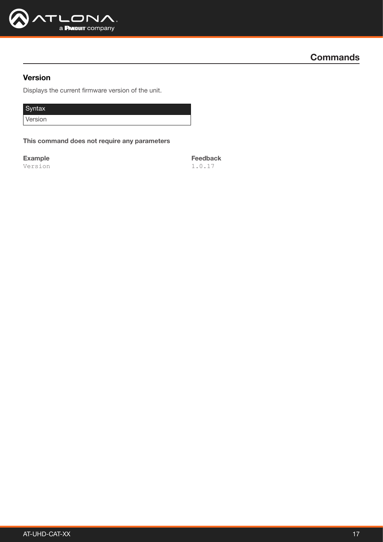

## <span id="page-16-0"></span>Version

Displays the current firmware version of the unit.

Syntax

Version

This command does not require any parameters

Example Version Feedback 1.0.17